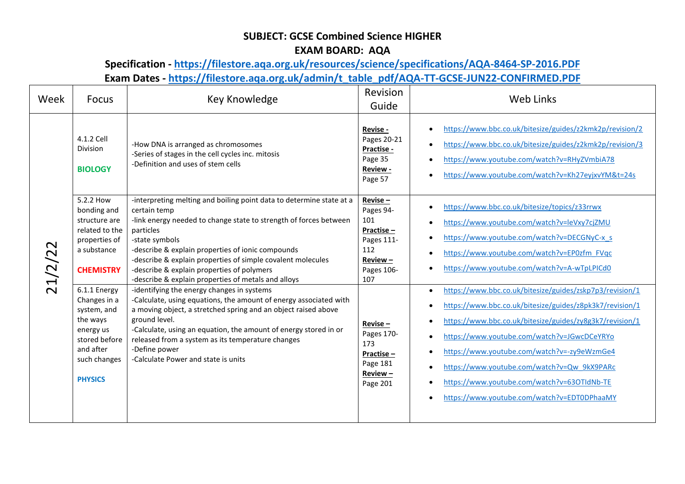## **SUBJECT: GCSE Combined Science HIGHER**

## **EXAM BOARD: AQA**

## **Specification - <https://filestore.aqa.org.uk/resources/science/specifications/AQA-8464-SP-2016.PDF> Exam Dates - [https://filestore.aqa.org.uk/admin/t\\_table\\_pdf/AQA-TT-GCSE-JUN22-CONFIRMED.PDF](https://filestore.aqa.org.uk/admin/t_table_pdf/AQA-TT-GCSE-JUN22-CONFIRMED.PDF)**

| Week    | <b>Focus</b>                                                                                                                                                                                                                                            | Key Knowledge                                                                                                                                                                                                                                                                                                                                                                                                                                                                                                                                                                                                                                                                                                                                                                                            | Revision<br>Guide                                                                                                                                                                     | <b>Web Links</b>                                                                                                                                                                                                                                                                                                                                                                                                                                                                                                                                                                                                                                                         |
|---------|---------------------------------------------------------------------------------------------------------------------------------------------------------------------------------------------------------------------------------------------------------|----------------------------------------------------------------------------------------------------------------------------------------------------------------------------------------------------------------------------------------------------------------------------------------------------------------------------------------------------------------------------------------------------------------------------------------------------------------------------------------------------------------------------------------------------------------------------------------------------------------------------------------------------------------------------------------------------------------------------------------------------------------------------------------------------------|---------------------------------------------------------------------------------------------------------------------------------------------------------------------------------------|--------------------------------------------------------------------------------------------------------------------------------------------------------------------------------------------------------------------------------------------------------------------------------------------------------------------------------------------------------------------------------------------------------------------------------------------------------------------------------------------------------------------------------------------------------------------------------------------------------------------------------------------------------------------------|
|         | 4.1.2 Cell<br><b>Division</b><br><b>BIOLOGY</b>                                                                                                                                                                                                         | -How DNA is arranged as chromosomes<br>-Series of stages in the cell cycles inc. mitosis<br>-Definition and uses of stem cells                                                                                                                                                                                                                                                                                                                                                                                                                                                                                                                                                                                                                                                                           | Revise -<br>Pages 20-21<br>Practise -<br>Page 35<br>Review -<br>Page 57                                                                                                               | https://www.bbc.co.uk/bitesize/guides/z2kmk2p/revision/2<br>https://www.bbc.co.uk/bitesize/guides/z2kmk2p/revision/3<br>https://www.youtube.com/watch?v=RHyZVmbiA78<br>https://www.youtube.com/watch?v=Kh27eyjxvYM&t=24s                                                                                                                                                                                                                                                                                                                                                                                                                                                 |
| 21/2/22 | 5.2.2 How<br>bonding and<br>structure are<br>related to the<br>properties of<br>a substance<br><b>CHEMISTRY</b><br>6.1.1 Energy<br>Changes in a<br>system, and<br>the ways<br>energy us<br>stored before<br>and after<br>such changes<br><b>PHYSICS</b> | -interpreting melting and boiling point data to determine state at a<br>certain temp<br>-link energy needed to change state to strength of forces between<br>particles<br>-state symbols<br>-describe & explain properties of ionic compounds<br>-describe & explain properties of simple covalent molecules<br>-describe & explain properties of polymers<br>-describe & explain properties of metals and alloys<br>-identifying the energy changes in systems<br>-Calculate, using equations, the amount of energy associated with<br>a moving object, a stretched spring and an object raised above<br>ground level.<br>-Calculate, using an equation, the amount of energy stored in or<br>released from a system as its temperature changes<br>-Define power<br>-Calculate Power and state is units | Revise-<br>Pages 94-<br>101<br>Practise-<br>Pages 111-<br>112<br>$Review -$<br>Pages 106-<br>107<br>$Review = -$<br>Pages 170-<br>173<br>Practise-<br>Page 181<br>Review-<br>Page 201 | https://www.bbc.co.uk/bitesize/topics/z33rrwx<br>https://www.youtube.com/watch?v=leVxy7cjZMU<br>https://www.youtube.com/watch?v=DECGNyC-x s<br>https://www.youtube.com/watch?v=EP0zfm FVqc<br>https://www.youtube.com/watch?v=A-wTpLPICd0<br>https://www.bbc.co.uk/bitesize/guides/zskp7p3/revision/1<br>https://www.bbc.co.uk/bitesize/guides/z8pk3k7/revision/1<br>https://www.bbc.co.uk/bitesize/guides/zy8g3k7/revision/1<br>https://www.youtube.com/watch?v=JGwcDCeYRYo<br>https://www.youtube.com/watch?v=-zy9eWzmGe4<br>https://www.youtube.com/watch?v=Qw_9kX9PARc<br>https://www.youtube.com/watch?v=63OTIdNb-TE<br>https://www.youtube.com/watch?v=EDT0DPhaaMY |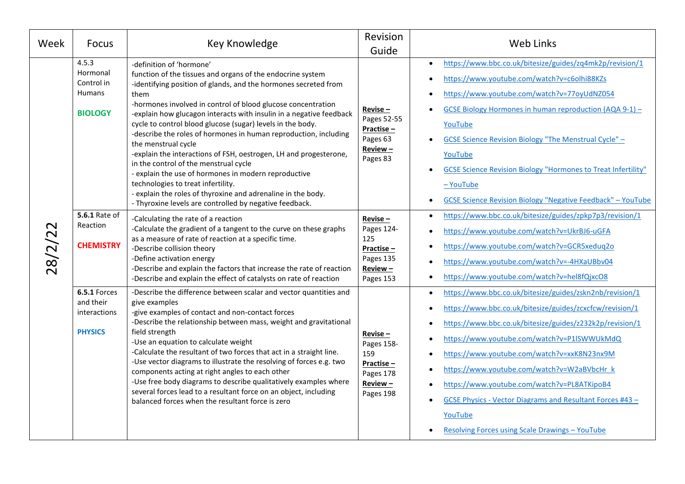| Week   | <b>Focus</b>                                                       | Key Knowledge                                                                                                                                                                                                                                                                                                                                                                                                                                                                                                                                                                                                                                                                                                                                                                                            | Revision<br>Guide                                                                      | <b>Web Links</b>                                                                                                                                                                                                                                                                                                                                                                                                                                                                                                      |
|--------|--------------------------------------------------------------------|----------------------------------------------------------------------------------------------------------------------------------------------------------------------------------------------------------------------------------------------------------------------------------------------------------------------------------------------------------------------------------------------------------------------------------------------------------------------------------------------------------------------------------------------------------------------------------------------------------------------------------------------------------------------------------------------------------------------------------------------------------------------------------------------------------|----------------------------------------------------------------------------------------|-----------------------------------------------------------------------------------------------------------------------------------------------------------------------------------------------------------------------------------------------------------------------------------------------------------------------------------------------------------------------------------------------------------------------------------------------------------------------------------------------------------------------|
| 28/2/2 | 4.5.3<br>Hormonal<br>Control in<br><b>Humans</b><br><b>BIOLOGY</b> | -definition of 'hormone'<br>function of the tissues and organs of the endocrine system<br>-identifying position of glands, and the hormones secreted from<br>them<br>-hormones involved in control of blood glucose concentration<br>-explain how glucagon interacts with insulin in a negative feedback<br>cycle to control blood glucose (sugar) levels in the body.<br>-describe the roles of hormones in human reproduction, including<br>the menstrual cycle<br>-explain the interactions of FSH, oestrogen, LH and progesterone,<br>in the control of the menstrual cycle<br>- explain the use of hormones in modern reproductive<br>technologies to treat infertility.<br>- explain the roles of thyroxine and adrenaline in the body.<br>- Thyroxine levels are controlled by negative feedback. | Revise-<br>Pages 52-55<br>Practise-<br>Pages 63<br>Review-<br>Pages 83                 | https://www.bbc.co.uk/bitesize/guides/zq4mk2p/revision/1<br>https://www.youtube.com/watch?v=c6olhi88KZs<br>https://www.youtube.com/watch?v=77oyUdNZ054<br>GCSE Biology Hormones in human reproduction (AQA 9-1) -<br>YouTube<br><b>GCSE Science Revision Biology "The Menstrual Cycle" -</b><br>YouTube<br><b>GCSE Science Revision Biology "Hormones to Treat Infertility"</b><br>$-$ YouTube<br><b>GCSE Science Revision Biology "Negative Feedback" - YouTube</b>                                                  |
|        | <b>5.6.1 Rate of</b><br>Reaction<br><b>CHEMISTRY</b>               | -Calculating the rate of a reaction<br>-Calculate the gradient of a tangent to the curve on these graphs<br>as a measure of rate of reaction at a specific time.<br>-Describe collision theory<br>-Define activation energy<br>-Describe and explain the factors that increase the rate of reaction<br>-Describe and explain the effect of catalysts on rate of reaction                                                                                                                                                                                                                                                                                                                                                                                                                                 | $Review = -$<br>Pages 124-<br>125<br>Practise-<br>Pages 135<br>Review-<br>Pages 153    | https://www.bbc.co.uk/bitesize/guides/zpkp7p3/revision/1<br>https://www.youtube.com/watch?v=UkrBJ6-uGFA<br>https://www.youtube.com/watch?v=GCR5xeduq2o<br>https://www.youtube.com/watch?v=-4HXaUBbv04<br>https://www.youtube.com/watch?v=hel8fQjxcO8                                                                                                                                                                                                                                                                  |
|        | 6.5.1 Forces<br>and their<br>interactions<br><b>PHYSICS</b>        | -Describe the difference between scalar and vector quantities and<br>give examples<br>-give examples of contact and non-contact forces<br>-Describe the relationship between mass, weight and gravitational<br>field strength<br>-Use an equation to calculate weight<br>-Calculate the resultant of two forces that act in a straight line.<br>-Use vector diagrams to illustrate the resolving of forces e.g. two<br>components acting at right angles to each other<br>-Use free body diagrams to describe qualitatively examples where<br>several forces lead to a resultant force on an object, including<br>balanced forces when the resultant force is zero                                                                                                                                       | $Review = -$<br>Pages 158-<br>159<br>Practise-<br>Pages 178<br>$Review -$<br>Pages 198 | https://www.bbc.co.uk/bitesize/guides/zskn2nb/revision/1<br>https://www.bbc.co.uk/bitesize/guides/zcxcfcw/revision/1<br>https://www.bbc.co.uk/bitesize/guides/z232k2p/revision/1<br>https://www.youtube.com/watch?v=P1ISWWUkMdQ<br>https://www.youtube.com/watch?v=xxK8N23nx9M<br>https://www.youtube.com/watch?v=W2aBVbcHr k<br>https://www.youtube.com/watch?v=PL8ATKipoB4<br><b>GCSE Physics - Vector Diagrams and Resultant Forces #43 -</b><br>YouTube<br><b>Resolving Forces using Scale Drawings - YouTube</b> |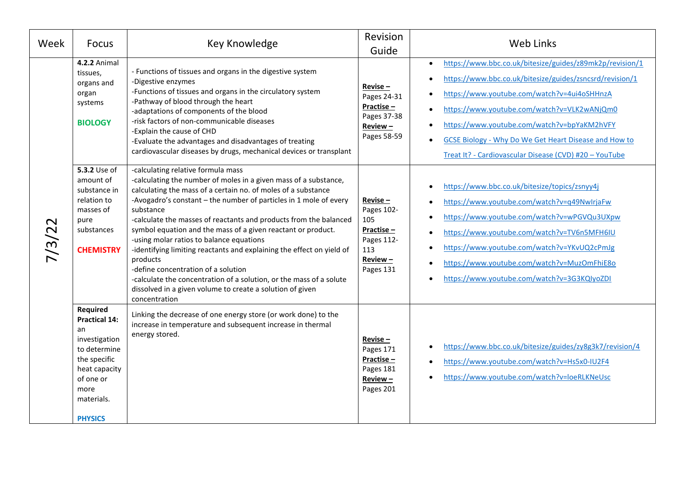| Week   | <b>Focus</b>                                                                                                                                                  | Key Knowledge                                                                                                                                                                                                                                                                                                                                                                                                                                                                                                                                                                                                                                                                                                               | Revision<br>Guide                                                                         | Web Links                                                                                                                                                                                                                                                                                                                                                                                                |
|--------|---------------------------------------------------------------------------------------------------------------------------------------------------------------|-----------------------------------------------------------------------------------------------------------------------------------------------------------------------------------------------------------------------------------------------------------------------------------------------------------------------------------------------------------------------------------------------------------------------------------------------------------------------------------------------------------------------------------------------------------------------------------------------------------------------------------------------------------------------------------------------------------------------------|-------------------------------------------------------------------------------------------|----------------------------------------------------------------------------------------------------------------------------------------------------------------------------------------------------------------------------------------------------------------------------------------------------------------------------------------------------------------------------------------------------------|
| 7/3/22 | <b>4.2.2 Animal</b><br>tissues,<br>organs and<br>organ<br>systems<br><b>BIOLOGY</b>                                                                           | - Functions of tissues and organs in the digestive system<br>-Digestive enzymes<br>-Functions of tissues and organs in the circulatory system<br>-Pathway of blood through the heart<br>-adaptations of components of the blood<br>-risk factors of non-communicable diseases<br>-Explain the cause of CHD<br>-Evaluate the advantages and disadvantages of treating<br>cardiovascular diseases by drugs, mechanical devices or transplant                                                                                                                                                                                                                                                                                  | $Review =$<br>Pages 24-31<br>Practise-<br>Pages 37-38<br>Review-<br>Pages 58-59           | https://www.bbc.co.uk/bitesize/guides/z89mk2p/revision/1<br>$\bullet$<br>https://www.bbc.co.uk/bitesize/guides/zsncsrd/revision/1<br>https://www.youtube.com/watch?v=4ui4oSHHnzA<br>https://www.youtube.com/watch?v=VLK2wANjQm0<br>https://www.youtube.com/watch?v=bpYaKM2hVFY<br><b>GCSE Biology - Why Do We Get Heart Disease and How to</b><br>Treat It? - Cardiovascular Disease (CVD) #20 - YouTube |
|        | 5.3.2 Use of<br>amount of<br>substance in<br>relation to<br>masses of<br>pure<br>substances<br><b>CHEMISTRY</b>                                               | -calculating relative formula mass<br>-calculating the number of moles in a given mass of a substance,<br>calculating the mass of a certain no. of moles of a substance<br>-Avogadro's constant - the number of particles in 1 mole of every<br>substance<br>-calculate the masses of reactants and products from the balanced<br>symbol equation and the mass of a given reactant or product.<br>-using molar ratios to balance equations<br>-identifying limiting reactants and explaining the effect on yield of<br>products<br>-define concentration of a solution<br>-calculate the concentration of a solution, or the mass of a solute<br>dissolved in a given volume to create a solution of given<br>concentration | Revise-<br>Pages 102-<br>105<br>Practise $-$<br>Pages 112-<br>113<br>Review-<br>Pages 131 | https://www.bbc.co.uk/bitesize/topics/zsnyy4j<br>https://www.youtube.com/watch?v=q49NwIrjaFw<br>https://www.youtube.com/watch?v=wPGVQu3UXpw<br>https://www.youtube.com/watch?v=TV6n5MFH6IU<br>https://www.youtube.com/watch?v=YKvUQ2cPmJg<br>https://www.youtube.com/watch?v=MuzOmFhiE8o<br>https://www.youtube.com/watch?v=3G3KQIyoZDI                                                                  |
|        | Required<br><b>Practical 14:</b><br>an<br>investigation<br>to determine<br>the specific<br>heat capacity<br>of one or<br>more<br>materials.<br><b>PHYSICS</b> | Linking the decrease of one energy store (or work done) to the<br>increase in temperature and subsequent increase in thermal<br>energy stored.                                                                                                                                                                                                                                                                                                                                                                                                                                                                                                                                                                              | $Reviewse -$<br>Pages 171<br>Practise-<br>Pages 181<br>$Review -$<br>Pages 201            | https://www.bbc.co.uk/bitesize/guides/zy8g3k7/revision/4<br>https://www.youtube.com/watch?v=Hs5x0-IU2F4<br>https://www.youtube.com/watch?v=loeRLKNeUsc                                                                                                                                                                                                                                                   |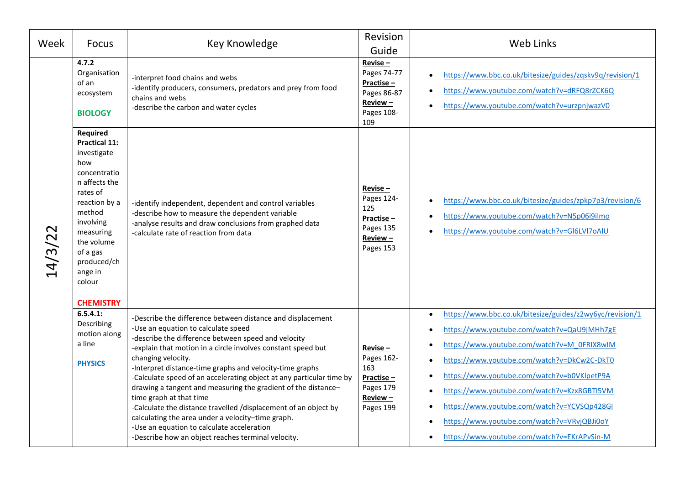| Week    | <b>Focus</b>                                                                                                                                                                                                                               | Key Knowledge                                                                                                                                                                                                                                                                                                                                                                                                                                                                                                                                                                                                                                                                                              | Revision<br>Guide                                                                       | Web Links                                                                                                                                                                                                                                                                                                                                                                                                                                        |
|---------|--------------------------------------------------------------------------------------------------------------------------------------------------------------------------------------------------------------------------------------------|------------------------------------------------------------------------------------------------------------------------------------------------------------------------------------------------------------------------------------------------------------------------------------------------------------------------------------------------------------------------------------------------------------------------------------------------------------------------------------------------------------------------------------------------------------------------------------------------------------------------------------------------------------------------------------------------------------|-----------------------------------------------------------------------------------------|--------------------------------------------------------------------------------------------------------------------------------------------------------------------------------------------------------------------------------------------------------------------------------------------------------------------------------------------------------------------------------------------------------------------------------------------------|
| 14/3/22 | 4.7.2<br>Organisation<br>of an<br>ecosystem<br><b>BIOLOGY</b>                                                                                                                                                                              | -interpret food chains and webs<br>-identify producers, consumers, predators and prey from food<br>chains and webs<br>-describe the carbon and water cycles                                                                                                                                                                                                                                                                                                                                                                                                                                                                                                                                                | $Reviewse -$<br>Pages 74-77<br>Practise-<br>Pages 86-87<br>Review-<br>Pages 108-<br>109 | https://www.bbc.co.uk/bitesize/guides/zqskv9q/revision/1<br>https://www.youtube.com/watch?v=dRFQ8rZCK6Q<br>https://www.youtube.com/watch?v=urzpnjwazV0                                                                                                                                                                                                                                                                                           |
|         | Required<br><b>Practical 11:</b><br>investigate<br>how<br>concentratio<br>n affects the<br>rates of<br>reaction by a<br>method<br>involving<br>measuring<br>the volume<br>of a gas<br>produced/ch<br>ange in<br>colour<br><b>CHEMISTRY</b> | -identify independent, dependent and control variables<br>-describe how to measure the dependent variable<br>-analyse results and draw conclusions from graphed data<br>-calculate rate of reaction from data                                                                                                                                                                                                                                                                                                                                                                                                                                                                                              | $Reviewse -$<br>Pages 124-<br>125<br>Practise-<br>Pages 135<br>Review-<br>Pages 153     | https://www.bbc.co.uk/bitesize/guides/zpkp7p3/revision/6<br>https://www.youtube.com/watch?v=N5p06i9ilmo<br>https://www.youtube.com/watch?v=GI6LVI7oAIU                                                                                                                                                                                                                                                                                           |
|         | 6.5.4.1:<br>Describing<br>motion along<br>a line<br><b>PHYSICS</b>                                                                                                                                                                         | -Describe the difference between distance and displacement<br>-Use an equation to calculate speed<br>-describe the difference between speed and velocity<br>-explain that motion in a circle involves constant speed but<br>changing velocity.<br>-Interpret distance-time graphs and velocity-time graphs<br>-Calculate speed of an accelerating object at any particular time by<br>drawing a tangent and measuring the gradient of the distance-<br>time graph at that time<br>-Calculate the distance travelled /displacement of an object by<br>calculating the area under a velocity-time graph.<br>-Use an equation to calculate acceleration<br>-Describe how an object reaches terminal velocity. | $Review = -$<br>Pages 162-<br>163<br>Practise-<br>Pages 179<br>Review-<br>Pages 199     | https://www.bbc.co.uk/bitesize/guides/z2wy6yc/revision/1<br>https://www.youtube.com/watch?v=QaU9jMHh7gE<br>https://www.youtube.com/watch?v=M_0FRIX8wIM<br>https://www.youtube.com/watch?v=DkCw2C-DkT0<br>https://www.youtube.com/watch?v=b0VKlpetP9A<br>https://www.youtube.com/watch?v=Kzx8GBTl5VM<br>https://www.youtube.com/watch?v=YCVSQp428GI<br>https://www.youtube.com/watch?v=VRvjQBJi0oY<br>https://www.youtube.com/watch?v=EKrAPvSin-M |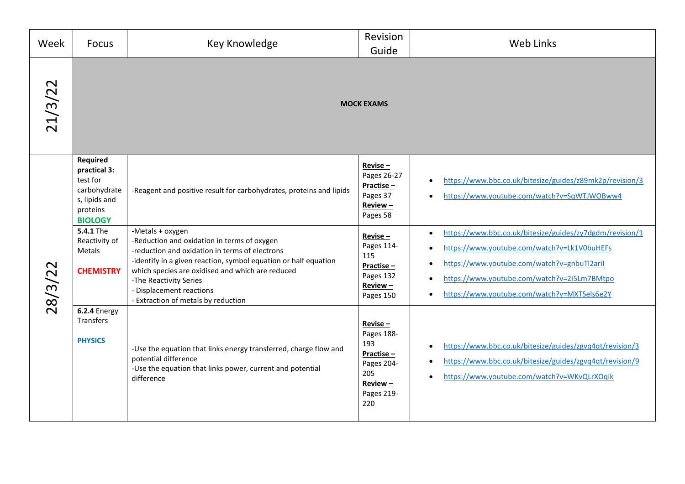| Week    | <b>Focus</b>                                                                                                                                                                         | Key Knowledge                                                                                                                                                                                                                                                                                                                                                         | Revision<br>Guide                                                                                                                                                     | Web Links                                                                                                                                                                                                                                                                                                                                                       |
|---------|--------------------------------------------------------------------------------------------------------------------------------------------------------------------------------------|-----------------------------------------------------------------------------------------------------------------------------------------------------------------------------------------------------------------------------------------------------------------------------------------------------------------------------------------------------------------------|-----------------------------------------------------------------------------------------------------------------------------------------------------------------------|-----------------------------------------------------------------------------------------------------------------------------------------------------------------------------------------------------------------------------------------------------------------------------------------------------------------------------------------------------------------|
| 21/3/22 |                                                                                                                                                                                      |                                                                                                                                                                                                                                                                                                                                                                       | <b>MOCK EXAMS</b>                                                                                                                                                     |                                                                                                                                                                                                                                                                                                                                                                 |
| 28/3/22 | <b>Required</b><br>practical 3:<br>test for<br>carbohydrate<br>s, lipids and<br>proteins<br><b>BIOLOGY</b><br><b>5.4.1 The</b><br>Reactivity of<br><b>Metals</b><br><b>CHEMISTRY</b> | -Reagent and positive result for carbohydrates, proteins and lipids<br>-Metals + oxygen<br>-Reduction and oxidation in terms of oxygen<br>-reduction and oxidation in terms of electrons<br>-identify in a given reaction, symbol equation or half equation<br>which species are oxidised and which are reduced<br>-The Reactivity Series<br>- Displacement reactions | $Reviewse -$<br>Pages 26-27<br>Practise-<br>Pages 37<br>Review-<br>Pages 58<br>$Review = -$<br>Pages 114-<br>115<br>Practise-<br>Pages 132<br>$Review -$<br>Pages 150 | https://www.bbc.co.uk/bitesize/guides/z89mk2p/revision/3<br>https://www.youtube.com/watch?v=SqWTJWOBww4<br>https://www.bbc.co.uk/bitesize/guides/zy7dgdm/revision/1<br>https://www.youtube.com/watch?v=Lk1V0buHEFs<br>https://www.youtube.com/watch?v=gnbuTl2aril<br>https://www.youtube.com/watch?v=2i5Lm7BMtpo<br>https://www.youtube.com/watch?v=MXTSels6e2Y |
|         | 6.2.4 Energy<br>Transfers<br><b>PHYSICS</b>                                                                                                                                          | - Extraction of metals by reduction<br>-Use the equation that links energy transferred, charge flow and<br>potential difference<br>-Use the equation that links power, current and potential<br>difference                                                                                                                                                            | $Reviewse -$<br>Pages 188-<br>193<br>Practise-<br>Pages 204-<br>205<br>Review-<br>Pages 219-<br>220                                                                   | https://www.bbc.co.uk/bitesize/guides/zgvq4qt/revision/3<br>https://www.bbc.co.uk/bitesize/guides/zgvq4qt/revision/9<br>https://www.youtube.com/watch?v=WKvQLrXOgik                                                                                                                                                                                             |